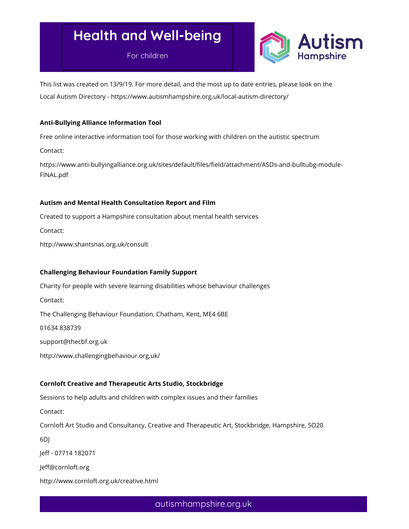For children



This list was created on 13/9/19. For more detail, and the most up to date entries, please look on the Local Autism Directory - https://www.autismhampshire.org.uk/local-autism-directory/

## Anti-Bullying Alliance Information Tool

Free online interactive information tool for those working with children on the autistic spectrum

Contact:

https://www.anti-bullyingalliance.org.uk/sites/default/files/field/attachment/ASDs-and-bulltubg-module-FINAL.pdf

## Autism and Mental Health Consultation Report and Film

Created to support a Hampshire consultation about mental health services

Contact:

http://www.shantsnas.org.uk/consult

## Challenging Behaviour Foundation Family Support

Charity for people with severe learning disabilities whose behaviour challenges

Contact:

The Challenging Behaviour Foundation, Chatham, Kent, ME4 6BE

01634 838739

support@thecbf.org.uk

http://www.challengingbehaviour.org.uk/

## Cornloft Creative and Therapeutic Arts Studio, Stockbridge

Sessions to help adults and children with complex issues and their families

Contact:

Cornloft Art Studio and Consultancy, Creative and Therapeutic Art, Stockbridge, Hampshire, SO20

6DJ

Jeff - 07714 182071

Jeff@cornloft.org

http://www.cornloft.org.uk/creative.html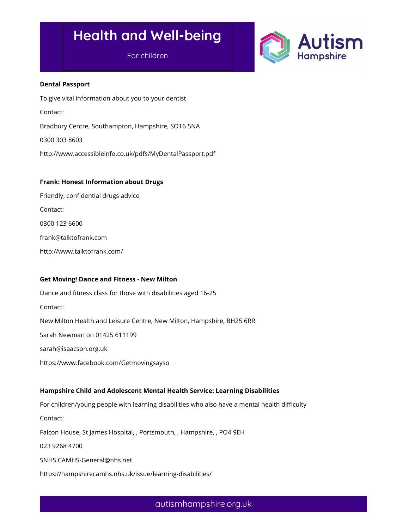For children



### Dental Passport

To give vital information about you to your dentist Contact: Bradbury Centre, Southampton, Hampshire, SO16 5NA 0300 303 8603 http://www.accessibleinfo.co.uk/pdfs/MyDentalPassport.pdf

## Frank: Honest Information about Drugs

Friendly, confidential drugs advice Contact: 0300 123 6600 frank@talktofrank.com http://www.talktofrank.com/

## Get Moving! Dance and Fitness - New Milton

Dance and fitness class for those with disabilities aged 16-25 Contact: New Milton Health and Leisure Centre, New Milton, Hampshire, BH25 6RR Sarah Newman on 01425 611199 sarah@isaacson.org.uk https://www.facebook.com/Getmovingsayso

## Hampshire Child and Adolescent Mental Health Service: Learning Disabilities

For children/young people with learning disabilities who also have a mental health difficulty Contact: Falcon House, St James Hospital, , Portsmouth, , Hampshire, , PO4 9EH 023 9268 4700 SNHS.CAMHS-General@nhs.net https://hampshirecamhs.nhs.uk/issue/learning-disabilities/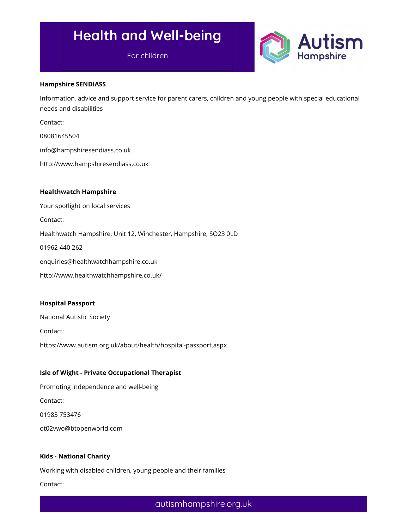For children



### Hampshire SENDIASS

Information, advice and support service for parent carers, children and young people with special educational needs and disabilities

Contact:

08081645504

info@hampshiresendiass.co.uk

http://www.hampshiresendiass.co.uk

### Healthwatch Hampshire

Your spotlight on local services

Contact:

Healthwatch Hampshire, Unit 12, Winchester, Hampshire, SO23 0LD

01962 440 262

enquiries@healthwatchhampshire.co.uk

http://www.healthwatchhampshire.co.uk/

### Hospital Passport

National Autistic Society Contact: https://www.autism.org.uk/about/health/hospital-passport.aspx

## Isle of Wight - Private Occupational Therapist

Promoting independence and well-being Contact: 01983 753476 ot02vwo@btopenworld.com

## Kids - National Charity

Working with disabled children, young people and their families

Contact: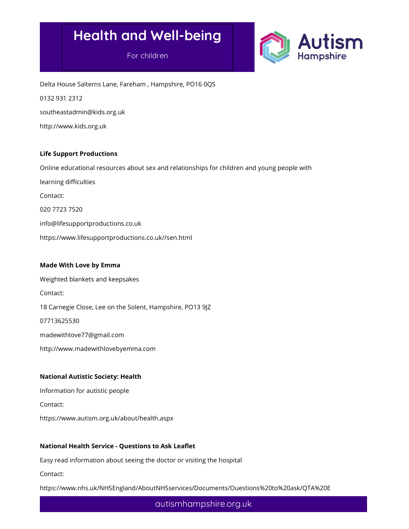For children



Delta House Salterns Lane, Fareham , Hampshire, PO16 0QS 0132 931 2312 southeastadmin@kids.org.uk http://www.kids.org.uk

## Life Support Productions

Online educational resources about sex and relationships for children and young people with

learning difficulties Contact: 020 7723 7520 info@lifesupportproductions.co.uk

https://www.lifesupportproductions.co.uk//sen.html

### Made With Love by Emma

Weighted blankets and keepsakes Contact: 18 Carnegie Close, Lee on the Solent, Hampshire, PO13 9JZ 07713625530 madewithlove77@gmail.com http://www.madewithlovebyemma.com

## National Autistic Society: Health

Information for autistic people Contact: https://www.autism.org.uk/about/health.aspx

## National Health Service - Questions to Ask Leaflet

Easy read information about seeing the doctor or visiting the hospital

Contact:

https://www.nhs.uk/NHSEngland/AboutNHSservices/Documents/Ouestions%20to%20ask/QTA%20E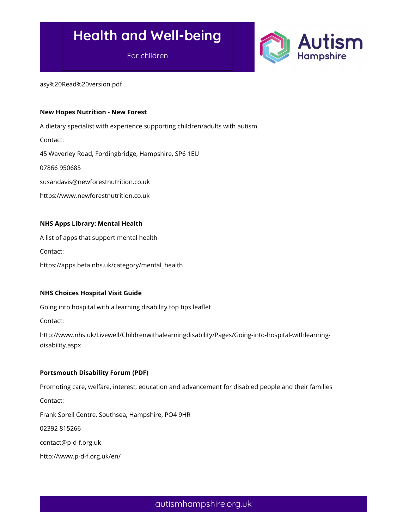For children



asy%20Read%20version.pdf

#### New Hopes Nutrition - New Forest

A dietary specialist with experience supporting children/adults with autism

Contact:

45 Waverley Road, Fordingbridge, Hampshire, SP6 1EU

07866 950685

susandavis@newforestnutrition.co.uk

https://www.newforestnutrition.co.uk

### NHS Apps Library: Mental Health

A list of apps that support mental health Contact: https://apps.beta.nhs.uk/category/mental\_health

### NHS Choices Hospital Visit Guide

Going into hospital with a learning disability top tips leaflet

Contact:

http://www.nhs.uk/Livewell/Childrenwithalearningdisability/Pages/Going-into-hospital-withlearningdisability.aspx

### Portsmouth Disability Forum (PDF)

Promoting care, welfare, interest, education and advancement for disabled people and their families Contact:

Frank Sorell Centre, Southsea, Hampshire, PO4 9HR

02392 815266

contact@p-d-f.org.uk

http://www.p-d-f.org.uk/en/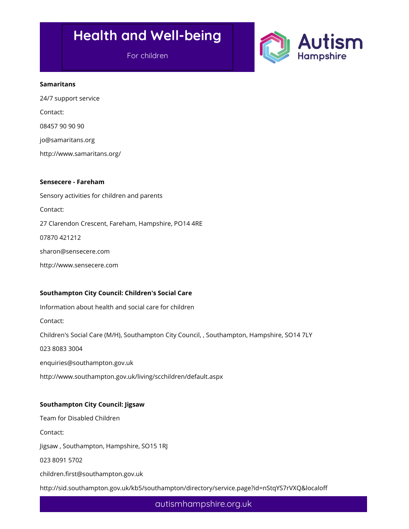For children



### Samaritans

24/7 support service Contact: 08457 90 90 90 jo@samaritans.org http://www.samaritans.org/

#### Sensecere - Fareham

Sensory activities for children and parents Contact: 27 Clarendon Crescent, Fareham, Hampshire, PO14 4RE 07870 421212 sharon@sensecere.com http://www.sensecere.com

## Southampton City Council: Children's Social Care

Information about health and social care for children Contact: Children's Social Care (M/H), Southampton City Council, , Southampton, Hampshire, SO14 7LY 023 8083 3004 enquiries@southampton.gov.uk http://www.southampton.gov.uk/living/scchildren/default.aspx

## Southampton City Council: Jigsaw

Team for Disabled Children

Contact:

Jigsaw , Southampton, Hampshire, SO15 1RJ

023 8091 5702

children.first@southampton.gov.uk

http://sid.southampton.gov.uk/kb5/southampton/directory/service.page?id=nStqYS7rVXQ&localoff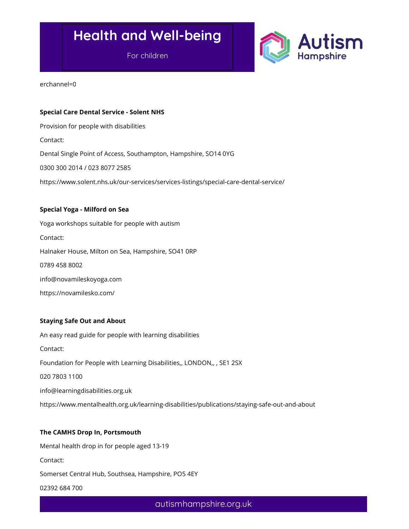For children



erchannel=0

### Special Care Dental Service - Solent NHS

Provision for people with disabilities

Contact:

Dental Single Point of Access, Southampton, Hampshire, SO14 0YG

0300 300 2014 / 023 8077 2585

https://www.solent.nhs.uk/our-services/services-listings/special-care-dental-service/

### Special Yoga - Milford on Sea

Yoga workshops suitable for people with autism Contact: Halnaker House, Milton on Sea, Hampshire, SO41 0RP 0789 458 8002 info@novamileskoyoga.com https://novamilesko.com/

### Staying Safe Out and About

An easy read guide for people with learning disabilities Contact: Foundation for People with Learning Disabilities,, LONDON,, , SE1 2SX 020 7803 1100 info@learningdisabilities.org.uk https://www.mentalhealth.org.uk/learning-disabilities/publications/staying-safe-out-and-about

### The CAMHS Drop In, Portsmouth

Mental health drop in for people aged 13-19

Contact:

Somerset Central Hub, Southsea, Hampshire, PO5 4EY

02392 684 700